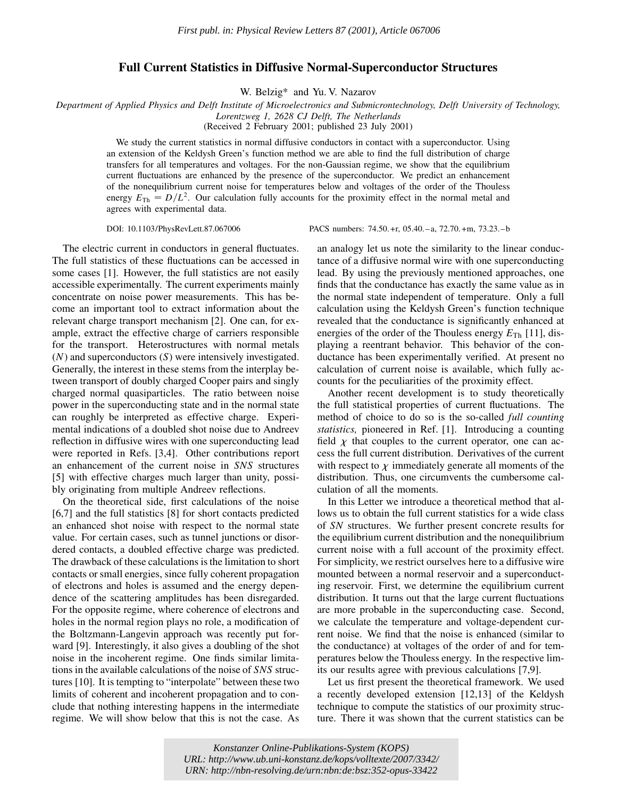## **Full Current Statistics in Diffusive Normal-Superconductor Structures**

W. Belzig\* and Yu. V. Nazarov

*Department of Applied Physics and Delft Institute of Microelectronics and Submicrontechnology, Delft University of Technology,*

*Lorentzweg 1, 2628 CJ Delft, The Netherlands* (Received 2 February 2001; published 23 July 2001)

We study the current statistics in normal diffusive conductors in contact with a superconductor. Using an extension of the Keldysh Green's function method we are able to find the full distribution of charge transfers for all temperatures and voltages. For the non-Gaussian regime, we show that the equilibrium current fluctuations are enhanced by the presence of the superconductor. We predict an enhancement of the nonequilibrium current noise for temperatures below and voltages of the order of the Thouless energy  $E_{\text{Th}} = D/L^2$ . Our calculation fully accounts for the proximity effect in the normal metal and agrees with experimental data.

DOI: 10.1103/PhysRevLett.87.067006 PACS numbers: 74.50. +r, 05.40. –a, 72.70. +m, 73.23.–b

The electric current in conductors in general fluctuates. The full statistics of these fluctuations can be accessed in some cases [1]. However, the full statistics are not easily accessible experimentally. The current experiments mainly concentrate on noise power measurements. This has become an important tool to extract information about the relevant charge transport mechanism [2]. One can, for example, extract the effective charge of carriers responsible for the transport. Heterostructures with normal metals (*N*) and superconductors (*S*) were intensively investigated. Generally, the interest in these stems from the interplay between transport of doubly charged Cooper pairs and singly charged normal quasiparticles. The ratio between noise power in the superconducting state and in the normal state can roughly be interpreted as effective charge. Experimental indications of a doubled shot noise due to Andreev reflection in diffusive wires with one superconducting lead were reported in Refs. [3,4]. Other contributions report an enhancement of the current noise in *SNS* structures [5] with effective charges much larger than unity, possibly originating from multiple Andreev reflections.

On the theoretical side, first calculations of the noise [6,7] and the full statistics [8] for short contacts predicted an enhanced shot noise with respect to the normal state value. For certain cases, such as tunnel junctions or disordered contacts, a doubled effective charge was predicted. The drawback of these calculations is the limitation to short contacts or small energies, since fully coherent propagation of electrons and holes is assumed and the energy dependence of the scattering amplitudes has been disregarded. For the opposite regime, where coherence of electrons and holes in the normal region plays no role, a modification of the Boltzmann-Langevin approach was recently put forward [9]. Interestingly, it also gives a doubling of the shot noise in the incoherent regime. One finds similar limitations in the available calculations of the noise of *SNS* structures [10]. It is tempting to "interpolate" between these two limits of coherent and incoherent propagation and to conclude that nothing interesting happens in the intermediate regime. We will show below that this is not the case. As an analogy let us note the similarity to the linear conductance of a diffusive normal wire with one superconducting lead. By using the previously mentioned approaches, one finds that the conductance has exactly the same value as in the normal state independent of temperature. Only a full calculation using the Keldysh Green's function technique revealed that the conductance is significantly enhanced at energies of the order of the Thouless energy  $E_{\text{Th}}$  [11], displaying a reentrant behavior. This behavior of the conductance has been experimentally verified. At present no calculation of current noise is available, which fully accounts for the peculiarities of the proximity effect.

Another recent development is to study theoretically the full statistical properties of current fluctuations. The method of choice to do so is the so-called *full counting statistics,* pioneered in Ref. [1]. Introducing a counting field  $\chi$  that couples to the current operator, one can access the full current distribution. Derivatives of the current with respect to  $\chi$  immediately generate all moments of the distribution. Thus, one circumvents the cumbersome calculation of all the moments.

In this Letter we introduce a theoretical method that allows us to obtain the full current statistics for a wide class of *SN* structures. We further present concrete results for the equilibrium current distribution and the nonequilibrium current noise with a full account of the proximity effect. For simplicity, we restrict ourselves here to a diffusive wire mounted between a normal reservoir and a superconducting reservoir. First, we determine the equilibrium current distribution. It turns out that the large current fluctuations are more probable in the superconducting case. Second, we calculate the temperature and voltage-dependent current noise. We find that the noise is enhanced (similar to the conductance) at voltages of the order of and for temperatures below the Thouless energy. In the respective limits our results agree with previous calculations [7,9].

Let us first present the theoretical framework. We used a recently developed extension [12,13] of the Keldysh technique to compute the statistics of our proximity structure. There it was shown that the current statistics can be

*Konstanzer Online-Publikations-System (KOPS) URL:<http://www.ub.uni-konstanz.de/kops/volltexte/2007/3342/> URN:<http://nbn-resolving.de/urn:nbn:de:bsz:352-opus-33422>*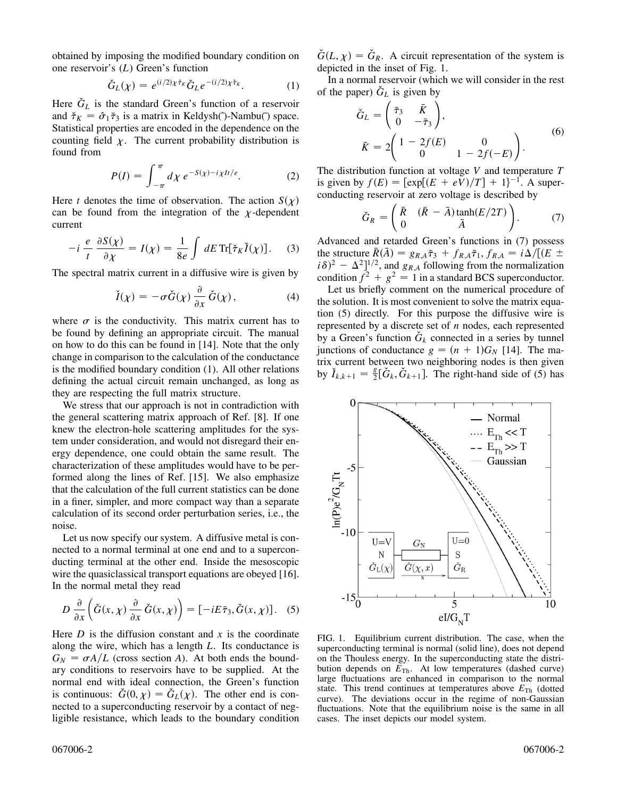obtained by imposing the modified boundary condition on one reservoir's (*L*) Green's function

$$
\check{G}_L(\chi) = e^{(i/2)\chi \check{\tau}_K} \check{G}_L e^{-(i/2)\chi \check{\tau}_K}.
$$
 (1)

Here  $G_L$  is the standard Green's function of a reservoir and  $\check{\tau}_K = \hat{\sigma}_1 \bar{\tau}_3$  is a matrix in Keldysh( $\hat{\tau}_K$ )-Nambu( $\hat{\tau}_K$ ) space. Statistical properties are encoded in the dependence on the counting field  $\chi$ . The current probability distribution is found from

$$
P(I) = \int_{-\pi}^{\pi} d\chi \, e^{-S(\chi) - i\chi I t/e}.\tag{2}
$$

Here *t* denotes the time of observation. The action  $S(\chi)$ can be found from the integration of the  $\chi$ -dependent current

$$
-i\frac{e}{t}\frac{\partial S(\chi)}{\partial \chi} = I(\chi) = \frac{1}{8e}\int dE \,\mathrm{Tr}[\check{\tau}_K \check{I}(\chi)]. \tag{3}
$$

The spectral matrix current in a diffusive wire is given by

$$
\check{I}(\chi) = -\sigma \check{G}(\chi) \frac{\partial}{\partial x} \check{G}(\chi), \tag{4}
$$

where  $\sigma$  is the conductivity. This matrix current has to be found by defining an appropriate circuit. The manual on how to do this can be found in [14]. Note that the only change in comparison to the calculation of the conductance is the modified boundary condition (1). All other relations defining the actual circuit remain unchanged, as long as they are respecting the full matrix structure.

We stress that our approach is not in contradiction with the general scattering matrix approach of Ref. [8]. If one knew the electron-hole scattering amplitudes for the system under consideration, and would not disregard their energy dependence, one could obtain the same result. The characterization of these amplitudes would have to be performed along the lines of Ref. [15]. We also emphasize that the calculation of the full current statistics can be done in a finer, simpler, and more compact way than a separate calculation of its second order perturbation series, i.e., the noise.

Let us now specify our system. A diffusive metal is connected to a normal terminal at one end and to a superconducting terminal at the other end. Inside the mesoscopic wire the quasiclassical transport equations are obeyed [16]. In the normal metal they read

$$
D\frac{\partial}{\partial x}\left(\check{G}(x,\chi)\frac{\partial}{\partial x}\check{G}(x,\chi)\right) = [-iE\bar{\tau}_3,\check{G}(x,\chi)].
$$
 (5)

Here  $D$  is the diffusion constant and  $x$  is the coordinate along the wire, which has a length *L*. Its conductance is  $G_N = \sigma A/L$  (cross section *A*). At both ends the boundary conditions to reservoirs have to be supplied. At the normal end with ideal connection, the Green's function is continuous:  $\check{G}(0, \chi) = \check{G}_L(\chi)$ . The other end is connected to a superconducting reservoir by a contact of negligible resistance, which leads to the boundary condition

 $\check{G}(L, \chi) = \check{G}_R$ . A circuit representation of the system is depicted in the inset of Fig. 1.

In a normal reservoir (which we will consider in the rest of the paper)  $\check{G}_L$  is given by

$$
\check{G}_L = \begin{pmatrix} \bar{\tau}_3 & \bar{K} \\ 0 & -\bar{\tau}_3 \end{pmatrix},
$$
  
\n
$$
\bar{K} = 2 \begin{pmatrix} 1 - 2f(E) & 0 \\ 0 & 1 - 2f(-E) \end{pmatrix}.
$$
 (6)

The distribution function at voltage *V* and temperature *T* is given by  $f(E) = [\exp[(E + eV)/T] + 1]^{-1}$ . A superconducting reservoir at zero voltage is described by √ !

$$
\check{G}_R = \begin{pmatrix} \bar{R} & (\bar{R} - \bar{A}) \tanh(E/2T) \\ 0 & \bar{A} \end{pmatrix}.
$$
 (7)

Advanced and retarded Green's functions in (7) possess the structure  $\bar{R}(\bar{A}) = g_{R,A}\bar{\tau}_3 + f_{R,A}\bar{\tau}_1, f_{R,A} = i\Delta/[(E \pm \Delta)]$  $(i\delta)^2 - \Delta^2$ <sup>1/2</sup>, and *g<sub>R,A</sub>* following from the normalization condition  $f^2 + g^2 = 1$  in a standard BCS superconductor.

Let us briefly comment on the numerical procedure of the solution. It is most convenient to solve the matrix equation (5) directly. For this purpose the diffusive wire is represented by a discrete set of *n* nodes, each represented by a Green's function  $\tilde{G}_k$  connected in a series by tunnel junctions of conductance  $g = (n + 1)G_N$  [14]. The matrix current between two neighboring nodes is then given by  $\check{I}_{k,k+1} = \frac{g}{2} [\check{G}_k, \check{G}_{k+1}]$ . The right-hand side of (5) has



FIG. 1. Equilibrium current distribution. The case, when the superconducting terminal is normal (solid line), does not depend on the Thouless energy. In the superconducting state the distribution depends on  $E_{\text{Th}}$ . At low temperatures (dashed curve) large fluctuations are enhanced in comparison to the normal state. This trend continues at temperatures above  $E_{\text{Th}}$  (dotted curve). The deviations occur in the regime of non-Gaussian fluctuations. Note that the equilibrium noise is the same in all cases. The inset depicts our model system.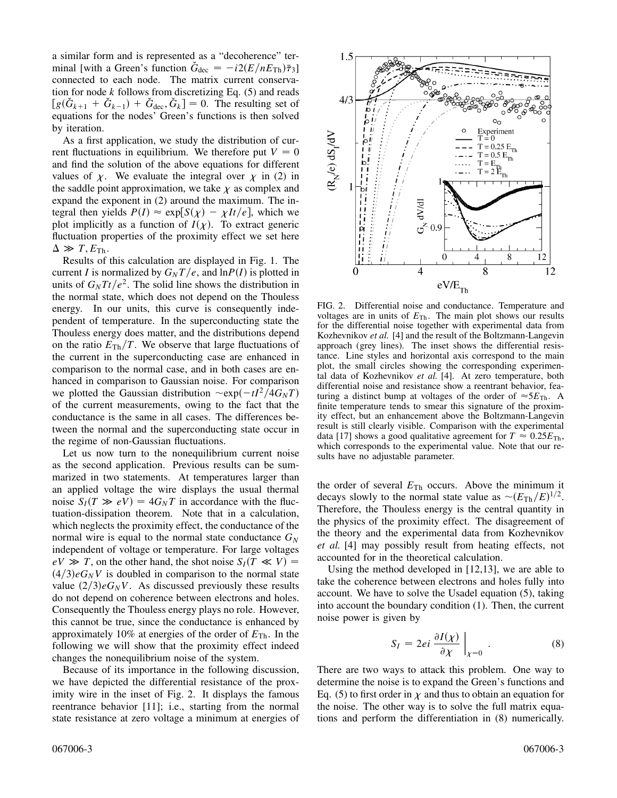a similar form and is represented as a "decoherence" terminal [with a Green's function  $\ddot{G}_{\text{dec}} = -i2(E/nE_{\text{Th}})\bar{\tau}_3$ ] connected to each node. The matrix current conservation for node *k* follows from discretizing Eq. (5) and reads  $[g(\check{G}_{k+1} + \check{G}_{k-1}) + \check{G}_{dec}, \check{G}_k] = 0$ . The resulting set of equations for the nodes' Green's functions is then solved by iteration.

As a first application, we study the distribution of current fluctuations in equilibrium. We therefore put  $V = 0$ and find the solution of the above equations for different values of  $\chi$ . We evaluate the integral over  $\chi$  in (2) in the saddle point approximation, we take  $\chi$  as complex and expand the exponent in (2) around the maximum. The integral then yields  $P(I) \approx \exp[S(\chi) - \chi It/e]$ , which we plot implicitly as a function of  $I(\chi)$ . To extract generic fluctuation properties of the proximity effect we set here  $\Delta \gg T, E_{\text{Th}}.$ 

Results of this calculation are displayed in Fig. 1. The current *I* is normalized by  $G_N T / e$ , and  $\ln P(I)$  is plotted in units of  $G_N T t / e^2$ . The solid line shows the distribution in the normal state, which does not depend on the Thouless energy. In our units, this curve is consequently independent of temperature. In the superconducting state the Thouless energy does matter, and the distributions depend on the ratio  $E_{\text{Th}}/T$ . We observe that large fluctuations of the current in the superconducting case are enhanced in comparison to the normal case, and in both cases are enhanced in comparison to Gaussian noise. For comparison we plotted the Gaussian distribution  $\sim \exp(-tI^2/4G_NT)$ of the current measurements, owing to the fact that the conductance is the same in all cases. The differences between the normal and the superconducting state occur in the regime of non-Gaussian fluctuations.

Let us now turn to the nonequilibrium current noise as the second application. Previous results can be summarized in two statements. At temperatures larger than an applied voltage the wire displays the usual thermal noise  $S_I(T \gg eV) = 4G_N T$  in accordance with the fluctuation-dissipation theorem. Note that in a calculation, which neglects the proximity effect, the conductance of the normal wire is equal to the normal state conductance  $G_N$ independent of voltage or temperature. For large voltages  $eV \gg T$ , on the other hand, the shot noise  $S_I(T \ll V)$  $(4/3)eG_NV$  is doubled in comparison to the normal state value  $(2/3)eG_NV$ . As discussed previously these results do not depend on coherence between electrons and holes. Consequently the Thouless energy plays no role. However, this cannot be true, since the conductance is enhanced by approximately 10% at energies of the order of  $E_{\text{Th}}$ . In the following we will show that the proximity effect indeed changes the nonequilibrium noise of the system.

Because of its importance in the following discussion, we have depicted the differential resistance of the proximity wire in the inset of Fig. 2. It displays the famous reentrance behavior [11]; i.e., starting from the normal state resistance at zero voltage a minimum at energies of



FIG. 2. Differential noise and conductance. Temperature and voltages are in units of  $E_{\text{Th}}$ . The main plot shows our results for the differential noise together with experimental data from Kozhevnikov *et al.* [4] and the result of the Boltzmann-Langevin approach (grey lines). The inset shows the differential resistance. Line styles and horizontal axis correspond to the main plot, the small circles showing the corresponding experimental data of Kozhevnikov *et al.* [4]. At zero temperature, both differential noise and resistance show a reentrant behavior, featuring a distinct bump at voltages of the order of  $\approx 5E_{\text{Th}}$ . A finite temperature tends to smear this signature of the proximity effect, but an enhancement above the Boltzmann-Langevin result is still clearly visible. Comparison with the experimental data [17] shows a good qualitative agreement for  $T \approx 0.25E_{\text{Th}}$ , which corresponds to the experimental value. Note that our results have no adjustable parameter.

the order of several  $E_{\text{Th}}$  occurs. Above the minimum it decays slowly to the normal state value as  $\sim (E_{\text{Th}}/E)^{1/2}$ . Therefore, the Thouless energy is the central quantity in the physics of the proximity effect. The disagreement of the theory and the experimental data from Kozhevnikov *et al.* [4] may possibly result from heating effects, not accounted for in the theoretical calculation.

Using the method developed in [12,13], we are able to take the coherence between electrons and holes fully into account. We have to solve the Usadel equation (5), taking into account the boundary condition (1). Then, the current noise power is given by

$$
S_I = 2ei \frac{\partial I(\chi)}{\partial \chi} \bigg|_{\chi=0} . \tag{8}
$$

There are two ways to attack this problem. One way to determine the noise is to expand the Green's functions and Eq. (5) to first order in  $\chi$  and thus to obtain an equation for the noise. The other way is to solve the full matrix equations and perform the differentiation in (8) numerically.